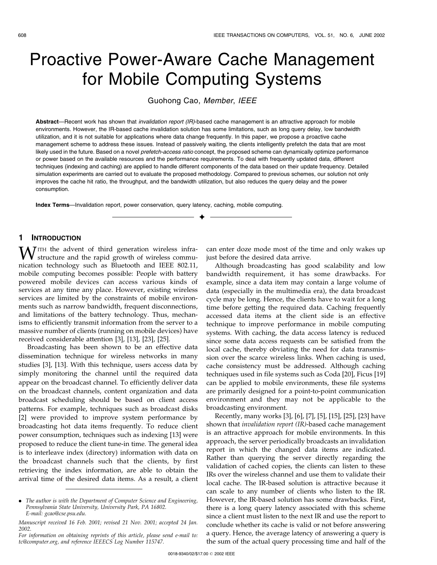# Proactive Power-Aware Cache Management for Mobile Computing Systems

Guohong Cao, Member, IEEE

Abstract—Recent work has shown that invalidation report (IR)-based cache management is an attractive approach for mobile environments. However, the IR-based cache invalidation solution has some limitations, such as long query delay, low bandwidth utilization, and it is not suitable for applications where data change frequently. In this paper, we propose a proactive cache management scheme to address these issues. Instead of passively waiting, the clients intelligently prefetch the data that are most likely used in the future. Based on a novel prefetch-access ratio concept, the proposed scheme can dynamically optimize performance or power based on the available resources and the performance requirements. To deal with frequently updated data, different techniques (indexing and caching) are applied to handle different components of the data based on their update frequency. Detailed simulation experiments are carried out to evaluate the proposed methodology. Compared to previous schemes, our solution not only improves the cache hit ratio, the throughput, and the bandwidth utilization, but also reduces the query delay and the power consumption.

æ

Index Terms—Invalidation report, power conservation, query latency, caching, mobile computing.

# 1 INTRODUCTION

 $J$ ITH the advent of third generation wireless infrastructure and the rapid growth of wireless communication technology such as Bluetooth and IEEE 802.11, mobile computing becomes possible: People with battery powered mobile devices can access various kinds of services at any time any place. However, existing wireless services are limited by the constraints of mobile environments such as narrow bandwidth, frequent disconnections, and limitations of the battery technology. Thus, mechanisms to efficiently transmit information from the server to a massive number of clients (running on mobile devices) have received considerable attention [3], [13], [23], [25].

Broadcasting has been shown to be an effective data dissemination technique for wireless networks in many studies [3], [13]. With this technique, users access data by simply monitoring the channel until the required data appear on the broadcast channel. To efficiently deliver data on the broadcast channels, content organization and data broadcast scheduling should be based on client access patterns. For example, techniques such as broadcast disks [2] were provided to improve system performance by broadcasting hot data items frequently. To reduce client power consumption, techniques such as indexing [13] were proposed to reduce the client tune-in time. The general idea is to interleave index (directory) information with data on the broadcast channels such that the clients, by first retrieving the index information, are able to obtain the arrival time of the desired data items. As a result, a client

can enter doze mode most of the time and only wakes up just before the desired data arrive.

Although broadcasting has good scalability and low bandwidth requirement, it has some drawbacks. For example, since a data item may contain a large volume of data (especially in the multimedia era), the data broadcast cycle may be long. Hence, the clients have to wait for a long time before getting the required data. Caching frequently accessed data items at the client side is an effective technique to improve performance in mobile computing systems. With caching, the data access latency is reduced since some data access requests can be satisfied from the local cache, thereby obviating the need for data transmission over the scarce wireless links. When caching is used, cache consistency must be addressed. Although caching techniques used in file systems such as Coda [20], Ficus [19] can be applied to mobile environments, these file systems are primarily designed for a point-to-point communication environment and they may not be applicable to the broadcasting environment.

Recently, many works [3], [6], [7], [5], [15], [25], [23] have shown that *invalidation report* (IR)-based cache management is an attractive approach for mobile environments. In this approach, the server periodically broadcasts an invalidation report in which the changed data items are indicated. Rather than querying the server directly regarding the validation of cached copies, the clients can listen to these IRs over the wireless channel and use them to validate their local cache. The IR-based solution is attractive because it can scale to any number of clients who listen to the IR. However, the IR-based solution has some drawbacks. First, there is a long query latency associated with this scheme since a client must listen to the next IR and use the report to conclude whether its cache is valid or not before answering a query. Hence, the average latency of answering a query is the sum of the actual query processing time and half of the

<sup>.</sup> The author is with the Department of Computer Science and Engineering, Pennsylvania State University, University Park, PA 16802. E-mail: gcao@cse.psu.edu.

Manuscript received 16 Feb. 2001; revised 21 Nov. 2001; accepted 24 Jan. 2002.

For information on obtaining reprints of this article, please send e-mail to: tc@computer.org, and reference IEEECS Log Number 115747.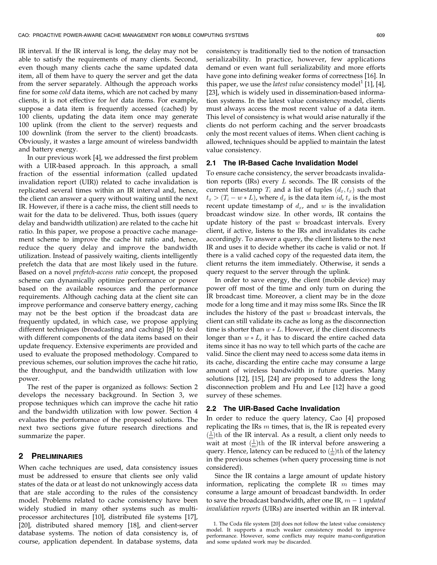IR interval. If the IR interval is long, the delay may not be able to satisfy the requirements of many clients. Second, even though many clients cache the same updated data item, all of them have to query the server and get the data from the server separately. Although the approach works fine for some *cold* data items, which are not cached by many clients, it is not effective for hot data items. For example, suppose a data item is frequently accessed (cached) by 100 clients, updating the data item once may generate 100 uplink (from the client to the server) requests and 100 downlink (from the server to the client) broadcasts. Obviously, it wastes a large amount of wireless bandwidth and battery energy.

In our previous work [4], we addressed the first problem with a UIR-based approach. In this approach, a small fraction of the essential information (called updated invalidation report (UIR)) related to cache invalidation is replicated several times within an IR interval and, hence, the client can answer a query without waiting until the next IR. However, if there is a cache miss, the client still needs to wait for the data to be delivered. Thus, both issues (query delay and bandwidth utilization) are related to the cache hit ratio. In this paper, we propose a proactive cache management scheme to improve the cache hit ratio and, hence, reduce the query delay and improve the bandwidth utilization. Instead of passively waiting, clients intelligently prefetch the data that are most likely used in the future. Based on a novel *prefetch-access ratio* concept, the proposed scheme can dynamically optimize performance or power based on the available resources and the performance requirements. Although caching data at the client site can improve performance and conserve battery energy, caching may not be the best option if the broadcast data are frequently updated, in which case, we propose applying different techniques (broadcasting and caching) [8] to deal with different components of the data items based on their update frequency. Extensive experiments are provided and used to evaluate the proposed methodology. Compared to previous schemes, our solution improves the cache hit ratio, the throughput, and the bandwidth utilization with low power.

The rest of the paper is organized as follows: Section 2 develops the necessary background. In Section 3, we propose techniques which can improve the cache hit ratio and the bandwidth utilization with low power. Section 4 evaluates the performance of the proposed solutions. The next two sections give future research directions and summarize the paper.

## 2 PRELIMINARIES

When cache techniques are used, data consistency issues must be addressed to ensure that clients see only valid states of the data or at least do not unknowingly access data that are stale according to the rules of the consistency model. Problems related to cache consistency have been widely studied in many other systems such as multiprocessor architectures [10], distributed file systems [17], [20], distributed shared memory [18], and client-server database systems. The notion of data consistency is, of course, application dependent. In database systems, data

consistency is traditionally tied to the notion of transaction serializability. In practice, however, few applications demand or even want full serializability and more efforts have gone into defining weaker forms of correctness [16]. In this paper, we use the *latest value* consistency mode<sup>[1</sup>], [4], [23], which is widely used in dissemination-based information systems. In the latest value consistency model, clients must always access the most recent value of a data item. This level of consistency is what would arise naturally if the clients do not perform caching and the server broadcasts only the most recent values of items. When client caching is allowed, techniques should be applied to maintain the latest value consistency.

#### 2.1 The IR-Based Cache Invalidation Model

To ensure cache consistency, the server broadcasts invalidation reports (IRs) every  $L$  seconds. The IR consists of the current timestamp  $T_i$  and a list of tuples  $(d_x, t_x)$  such that  $t_x > (T_i - w * L)$ , where  $d_x$  is the data item *id*,  $t_x$  is the most recent update timestamp of  $d_x$ , and w is the invalidation broadcast window size. In other words, IR contains the update history of the past  $w$  broadcast intervals. Every client, if active, listens to the IRs and invalidates its cache accordingly. To answer a query, the client listens to the next IR and uses it to decide whether its cache is valid or not. If there is a valid cached copy of the requested data item, the client returns the item immediately. Otherwise, it sends a query request to the server through the uplink.

In order to save energy, the client (mobile device) may power off most of the time and only turn on during the IR broadcast time. Moreover, a client may be in the doze mode for a long time and it may miss some IRs. Since the IR includes the history of the past  $w$  broadcast intervals, the client can still validate its cache as long as the disconnection time is shorter than  $w * L$ . However, if the client disconnects longer than  $w * L$ , it has to discard the entire cached data items since it has no way to tell which parts of the cache are valid. Since the client may need to access some data items in its cache, discarding the entire cache may consume a large amount of wireless bandwidth in future queries. Many solutions [12], [15], [24] are proposed to address the long disconnection problem and Hu and Lee [12] have a good survey of these schemes.

#### 2.2 The UIR-Based Cache Invalidation

In order to reduce the query latency, Cao [4] proposed replicating the IRs  $m$  times, that is, the IR is repeated every  $\left(\frac{1}{m}\right)$ th of the IR interval. As a result, a client only needs to wait at most  $(\frac{1}{m})$ th of the IR interval before answering a query. Hence, latency can be reduced to  $(\frac{1}{m})$ th of the latency in the previous schemes (when query processing time is not considered).

Since the IR contains a large amount of update history information, replicating the complete IR  $m$  times may consume a large amount of broadcast bandwidth. In order to save the broadcast bandwidth, after one IR,  $m-1$  updated invalidation reports (UIRs) are inserted within an IR interval.

<sup>1.</sup> The Coda file system [20] does not follow the latest value consistency model. It supports a much weaker consistency model to improve performance. However, some conflicts may require manu-configuration and some updated work may be discarded.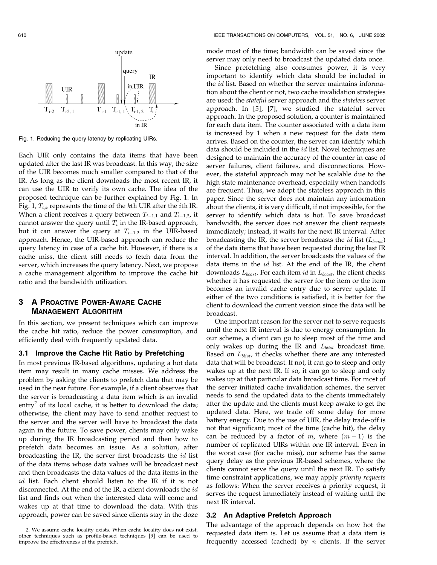

Fig. 1. Reducing the query latency by replicating UIRs.

Each UIR only contains the data items that have been updated after the last IR was broadcast. In this way, the size of the UIR becomes much smaller compared to that of the IR. As long as the client downloads the most recent IR, it can use the UIR to verify its own cache. The idea of the proposed technique can be further explained by Fig. 1. In Fig. 1,  $T_{i,k}$  represents the time of the kth UIR after the *i*th IR. When a client receives a query between  $T_{i-1,1}$  and  $T_{i-1,2}$ , it cannot answer the query until  $T_i$  in the IR-based approach, but it can answer the query at  $T_{i-1,2}$  in the UIR-based approach. Hence, the UIR-based approach can reduce the query latency in case of a cache hit. However, if there is a cache miss, the client still needs to fetch data from the server, which increases the query latency. Next, we propose a cache management algorithm to improve the cache hit ratio and the bandwidth utilization.

# 3 APROACTIVE POWER-AWARE CACHE MANAGEMENT ALGORITHM

In this section, we present techniques which can improve the cache hit ratio, reduce the power consumption, and efficiently deal with frequently updated data.

## 3.1 Improve the Cache Hit Ratio by Prefetching

In most previous IR-based algorithms, updating a hot data item may result in many cache misses. We address the problem by asking the clients to prefetch data that may be used in the near future. For example, if a client observes that the server is broadcasting a data item which is an invalid entry<sup>2</sup> of its local cache, it is better to download the data; otherwise, the client may have to send another request to the server and the server will have to broadcast the data again in the future. To save power, clients may only wake up during the IR broadcasting period and then how to prefetch data becomes an issue. As a solution, after broadcasting the IR, the server first broadcasts the *id* list of the data items whose data values will be broadcast next and then broadcasts the data values of the data items in the id list. Each client should listen to the IR if it is not disconnected. At the end of the IR, a client downloads the id list and finds out when the interested data will come and wakes up at that time to download the data. With this approach, power can be saved since clients stay in the doze

mode most of the time; bandwidth can be saved since the server may only need to broadcast the updated data once.

Since prefetching also consumes power, it is very important to identify which data should be included in the *id* list. Based on whether the server maintains information about the client or not, two cache invalidation strategies are used: the stateful server approach and the stateless server approach. In [5], [7], we studied the stateful server approach. In the proposed solution, a counter is maintained for each data item. The counter associated with a data item is increased by 1 when a new request for the data item arrives. Based on the counter, the server can identify which data should be included in the  $id$  list. Novel techniques are designed to maintain the accuracy of the counter in case of server failures, client failures, and disconnections. However, the stateful approach may not be scalable due to the high state maintenance overhead, especially when handoffs are frequent. Thus, we adopt the stateless approach in this paper. Since the server does not maintain any information about the clients, it is very difficult, if not impossible, for the server to identify which data is hot. To save broadcast bandwidth, the server does not answer the client requests immediately; instead, it waits for the next IR interval. After broadcasting the IR, the server broadcasts the *id* list  $(L_{\text{beast}})$ of the data items that have been requested during the last IR interval. In addition, the server broadcasts the values of the data items in the  $id$  list. At the end of the IR, the client downloads  $L_{bcast}$ . For each item *id* in  $L_{bcast}$ , the client checks whether it has requested the server for the item or the item becomes an invalid cache entry due to server update. If either of the two conditions is satisfied, it is better for the client to download the current version since the data will be broadcast.

One important reason for the server not to serve requests until the next IR interval is due to energy consumption. In our scheme, a client can go to sleep most of the time and only wakes up during the IR and  $L_{blist}$  broadcast time. Based on  $L_{blist}$ , it checks whether there are any interested data that will be broadcast. If not, it can go to sleep and only wakes up at the next IR. If so, it can go to sleep and only wakes up at that particular data broadcast time. For most of the server initiated cache invalidation schemes, the server needs to send the updated data to the clients immediately after the update and the clients must keep awake to get the updated data. Here, we trade off some delay for more battery energy. Due to the use of UIR, the delay trade-off is not that significant; most of the time (cache hit), the delay can be reduced by a factor of m, where  $(m - 1)$  is the number of replicated UIRs within one IR interval. Even in the worst case (for cache miss), our scheme has the same query delay as the previous IR-based schemes, where the clients cannot serve the query until the next IR. To satisfy time constraint applications, we may apply priority requests as follows: When the server receives a priority request, it serves the request immediately instead of waiting until the next IR interval.

#### 3.2 An Adaptive Prefetch Approach

The advantage of the approach depends on how hot the requested data item is. Let us assume that a data item is frequently accessed (cached) by  $n$  clients. If the server

<sup>2.</sup> We assume cache locality exists. When cache locality does not exist, other techniques such as profile-based techniques [9] can be used to improve the effectiveness of the prefetch.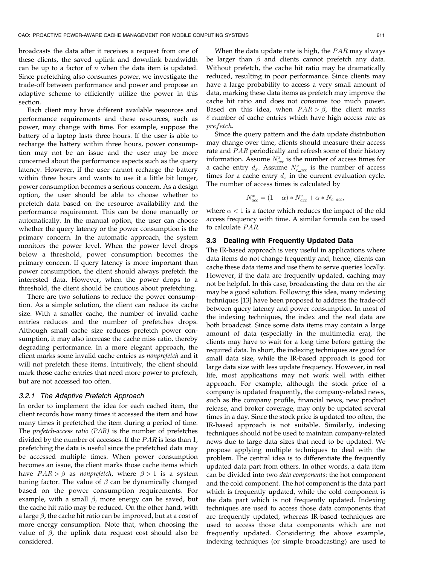broadcasts the data after it receives a request from one of these clients, the saved uplink and downlink bandwidth can be up to a factor of  $n$  when the data item is updated. Since prefetching also consumes power, we investigate the trade-off between performance and power and propose an adaptive scheme to efficiently utilize the power in this section.

Each client may have different available resources and performance requirements and these resources, such as power, may change with time. For example, suppose the battery of a laptop lasts three hours. If the user is able to recharge the battery within three hours, power consumption may not be an issue and the user may be more concerned about the performance aspects such as the query latency. However, if the user cannot recharge the battery within three hours and wants to use it a little bit longer, power consumption becomes a serious concern. As a design option, the user should be able to choose whether to prefetch data based on the resource availability and the performance requirement. This can be done manually or automatically. In the manual option, the user can choose whether the query latency or the power consumption is the primary concern. In the automatic approach, the system monitors the power level. When the power level drops below a threshold, power consumption becomes the primary concern. If query latency is more important than power consumption, the client should always prefetch the interested data. However, when the power drops to a threshold, the client should be cautious about prefetching.

There are two solutions to reduce the power consumption. As a simple solution, the client can reduce its cache size. With a smaller cache, the number of invalid cache entries reduces and the number of prefetches drops. Although small cache size reduces prefetch power consumption, it may also increase the cache miss ratio, thereby degrading performance. In a more elegant approach, the client marks some invalid cache entries as nonprefetch and it will not prefetch these items. Intuitively, the client should mark those cache entries that need more power to prefetch, but are not accessed too often.

#### 3.2.1 The Adaptive Prefetch Approach

In order to implement the idea for each cached item, the client records how many times it accessed the item and how many times it prefetched the item during a period of time. The prefetch-access ratio (PAR) is the number of prefetches divided by the number of accesses. If the  $PAR$  is less than  $1$ , prefetching the data is useful since the prefetched data may be accessed multiple times. When power consumption becomes an issue, the client marks those cache items which have  $PAR > \beta$  as nonprefetch, where  $\beta > 1$  is a system tuning factor. The value of  $\beta$  can be dynamically changed based on the power consumption requirements. For example, with a small  $\beta$ , more energy can be saved, but the cache hit ratio may be reduced. On the other hand, with a large  $\beta$ , the cache hit ratio can be improved, but at a cost of more energy consumption. Note that, when choosing the value of  $\beta$ , the uplink data request cost should also be considered.

When the data update rate is high, the  $PAR$  may always be larger than  $\beta$  and clients cannot prefetch any data. Without prefetch, the cache hit ratio may be dramatically reduced, resulting in poor performance. Since clients may have a large probability to access a very small amount of data, marking these data items as prefetch may improve the cache hit ratio and does not consume too much power. Based on this idea, when  $PAR > \beta$ , the client marks  $\delta$  number of cache entries which have high access rate as prefetch.

Since the query pattern and the data update distribution may change over time, clients should measure their access rate and PAR periodically and refresh some of their history information. Assume  $N_{acc}^x$  is the number of access times for a cache entry  $d_x$ . Assume  $N_{c \; acc}^x$  is the number of access times for a cache entry  $d_x$  in the current evaluation cycle. The number of access times is calculated by

$$
N_{acc}^x = (1 - \alpha) * N_{acc}^x + \alpha * N_{c\_acc},
$$

where  $\alpha < 1$  is a factor which reduces the impact of the old access frequency with time. A similar formula can be used to calculate PAR.

## 3.3 Dealing with Frequently Updated Data

The IR-based approach is very useful in applications where data items do not change frequently and, hence, clients can cache these data items and use them to serve queries locally. However, if the data are frequently updated, caching may not be helpful. In this case, broadcasting the data on the air may be a good solution. Following this idea, many indexing techniques [13] have been proposed to address the trade-off between query latency and power consumption. In most of the indexing techniques, the index and the real data are both broadcast. Since some data items may contain a large amount of data (especially in the multimedia era), the clients may have to wait for a long time before getting the required data. In short, the indexing techniques are good for small data size, while the IR-based approach is good for large data size with less update frequency. However, in real life, most applications may not work well with either approach. For example, although the stock price of a company is updated frequently, the company-related news, such as the company profile, financial news, new product release, and broker coverage, may only be updated several times in a day. Since the stock price is updated too often, the IR-based approach is not suitable. Similarly, indexing techniques should not be used to maintain company-related news due to large data sizes that need to be updated. We propose applying multiple techniques to deal with the problem. The central idea is to differentiate the frequently updated data part from others. In other words, a data item can be divided into two data components: the hot component and the cold component. The hot component is the data part which is frequently updated, while the cold component is the data part which is not frequently updated. Indexing techniques are used to access those data components that are frequently updated, whereas IR-based techniques are used to access those data components which are not frequently updated. Considering the above example, indexing techniques (or simple broadcasting) are used to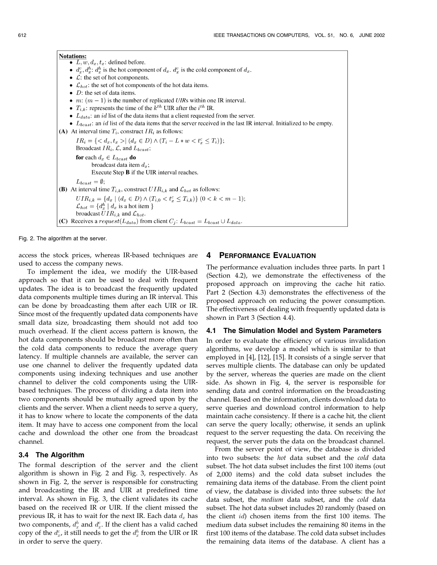**Notations:** •  $L, w, d_x, t_x$ : defined before. •  $d_x^c, d_x^h$ :  $d_x^h$  is the hot component of  $d_x$ .  $d_x^c$  is the cold component of  $d_x$ . •  $\mathcal{L}$ : the set of hot components. •  $\mathcal{L}_{hot}$ : the set of hot components of the hot data items.  $\bullet$  *D*: the set of data items. •  $m: (m-1)$  is the number of replicated UIRs within one IR interval. •  $T_{i,k}$ : represents the time of the  $k^{th}$  UIR after the  $i^{th}$  IR. •  $L_{data}$ : an *id* list of the data items that a client requested from the server. •  $L_{bcast}$ : an id list of the data items that the server received in the last IR interval. Initialized to be empty. (A) At interval time  $T_i$ , construct  $IR_i$  as follows:  $IR_i = \{  | (d_x \in D) \wedge (T_i - L * w < t_x^c \leq T_i) \};$ Broadcast  $IR_i$ ,  $\mathcal{L}$ , and  $L_{beast}$ ; for each  $d_x \in L_{\text{beast}}$  do broadcast data item  $d_x$ ; Execute Step B if the UIR interval reaches.  $L_{bcast} = \emptyset;$ **(B)** At interval time  $T_{i,k}$ , construct  $UIR_{i,k}$  and  $\mathcal{L}_{hot}$  as follows:  $UIR_{i,k} = \{d_x \mid (d_x \in D) \land (T_{i,0} < t_x^c \leq T_{i,k})\} \ (0 < k < m-1);$  $\mathcal{L}_{hot} = \{d_x^h | d_x$  is a hot item } broadcast  $UIR_{i,k}$  and  $\mathcal{L}_{hot}$ . (C) Receives a request( $L_{data}$ ) from client  $C_i$ :  $L_{beast} = L_{beast} \cup L_{data}$ .

Fig. 2. The algorithm at the server.

access the stock prices, whereas IR-based techniques are used to access the company news.

To implement the idea, we modify the UIR-based approach so that it can be used to deal with frequent updates. The idea is to broadcast the frequently updated data components multiple times during an IR interval. This can be done by broadcasting them after each UIR or IR. Since most of the frequently updated data components have small data size, broadcasting them should not add too much overhead. If the client access pattern is known, the hot data components should be broadcast more often than the cold data components to reduce the average query latency. If multiple channels are available, the server can use one channel to deliver the frequently updated data components using indexing techniques and use another channel to deliver the cold components using the UIRbased techniques. The process of dividing a data item into two components should be mutually agreed upon by the clients and the server. When a client needs to serve a query, it has to know where to locate the components of the data item. It may have to access one component from the local cache and download the other one from the broadcast channel.

## 3.4 The Algorithm

The formal description of the server and the client algorithm is shown in Fig. 2 and Fig. 3, respectively. As shown in Fig. 2, the server is responsible for constructing and broadcasting the IR and UIR at predefined time interval. As shown in Fig. 3, the client validates its cache based on the received IR or UIR. If the client missed the previous IR, it has to wait for the next IR. Each data  $d_x$  has two components,  $d_x^h$  and  $d_x^c$ . If the client has a valid cached copy of the  $d_x^c$ , it still needs to get the  $d_x^h$  from the UIR or IR in order to serve the query.

#### 4 PERFORMANCE EVALUATION

The performance evaluation includes three parts. In part 1 (Section 4.2), we demonstrate the effectiveness of the proposed approach on improving the cache hit ratio. Part 2 (Section 4.3) demonstrates the effectiveness of the proposed approach on reducing the power consumption. The effectiveness of dealing with frequently updated data is shown in Part 3 (Section 4.4).

## 4.1 The Simulation Model and System Parameters

In order to evaluate the efficiency of various invalidation algorithms, we develop a model which is similar to that employed in [4], [12], [15]. It consists of a single server that serves multiple clients. The database can only be updated by the server, whereas the queries are made on the client side. As shown in Fig. 4, the server is responsible for sending data and control information on the broadcasting channel. Based on the information, clients download data to serve queries and download control information to help maintain cache consistency. If there is a cache hit, the client can serve the query locally; otherwise, it sends an uplink request to the server requesting the data. On receiving the request, the server puts the data on the broadcast channel.

From the server point of view, the database is divided into two subsets: the hot data subset and the cold data subset. The hot data subset includes the first 100 items (out of 2,000 items) and the cold data subset includes the remaining data items of the database. From the client point of view, the database is divided into three subsets: the hot data subset, the medium data subset, and the cold data subset. The hot data subset includes 20 randomly (based on the client id) chosen items from the first 100 items. The medium data subset includes the remaining 80 items in the first 100 items of the database. The cold data subset includes the remaining data items of the database. A client has a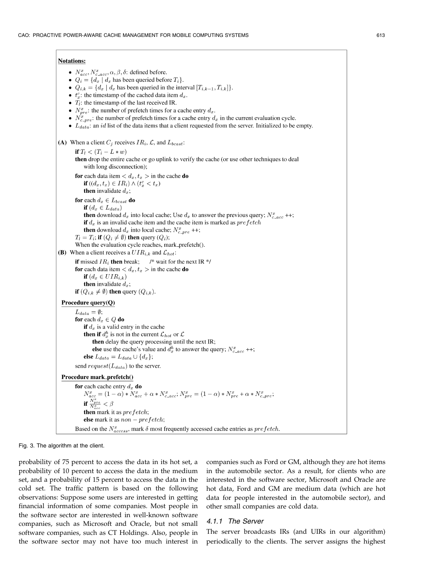#### **Notations:**

```
• N_{acc}^{x}, N_{c\text{-}acc}^{x}, \alpha, \beta, \delta: defined before.
    • Q_i = \{d_x \mid d_x \text{ has been queried before } T_i\}.• Q_{i,k} = \{d_x \mid d_x \text{ has been queried in the interval } [T_{i,k-1}, T_{i,k}]\}.• t_r^c: the timestamp of the cached data item d_x.
    • T_l: the timestamp of the last received IR.
    • N_{pre}^x: the number of prefetch times for a cache entry d_x.
    • N_{c\_pre}^x: the number of prefetch times for a cache entry d_x in the current evaluation cycle.
    • L_{data}: an id list of the data items that a client requested from the server. Initialized to be empty.
(A) When a client C_i receives IR_i, \mathcal{L}, and L_{beast}:
        if T_l < (T_i - L * w)then drop the entire cache or go uplink to verify the cache (or use other techniques to deal
            with long disconnection);
       for each data item d_x, t_x > in the cache do
            if ((d_x, t_x) \in IR_i) \wedge (t_x^c < t_x)then invalidate d_x;
       for each d_x \in L_{\text{beast}} do
           if (d_x \in L_{data})then download d_x into local cache; Use d_x to answer the previous query; N_{c,acc}^x ++;
            if d_x is an invalid cache item and the cache item is marked as prefetchthen download d_x into local cache; N_{c\_pre}^x ++;
        T_l = T_i; if (Q_i \neq \emptyset) then query (Q_i);
        When the evaluation cycle reaches, mark_prefetch().
(B) When a client receives a UIR_{i,k} and \mathcal{L}_{hot}:
        if missed IR_i then break; /* wait for the next IR */
       for each data item d_x, t_x > in the cache do
            if (d_x \in UIR_{i,k})then invalidate d_x;
       if (Q_{i,k} \neq \emptyset) then query (Q_{i,k}).
 Procedure query(Q)
        L_{data} = \emptyset;for each d_x \in Q do
            if d_x is a valid entry in the cache
            then if d_x^h is not in the current \mathcal{L}_{hot} or \mathcal{L}then delay the query processing until the next IR;
                else use the cache's value and d_x^h to answer the query; N_{c\_{acc}}^x++;
            else L_{data} = L_{data} \cup \{d_x\};send request(L_{data}) to the server.
 Procedure mark_prefetch()
       for each cache entry d_x do
           each cache entry a_x ao<br>
N_{acc}^x = (1 - \alpha) * N_{acc}^x + \alpha * N_{c\text{-}acc}^x; N_{pre}^x = (1 - \alpha) * N_{pre}^x + \alpha * N_{c\text{-}pre}^x;
           if \frac{N_{pre}^x}{N^x} < \betathen mark it as prefetch;
            else mark it as non-prefetch;Based on the N_{access}^x, mark \delta most frequently accessed cache entries as prefetch.
```
Fig. 3. The algorithm at the client.

probability of 75 percent to access the data in its hot set, a probability of 10 percent to access the data in the medium set, and a probability of 15 percent to access the data in the cold set. The traffic pattern is based on the following observations: Suppose some users are interested in getting financial information of some companies. Most people in the software sector are interested in well-known software companies, such as Microsoft and Oracle, but not small software companies, such as CT Holdings. Also, people in the software sector may not have too much interest in

companies such as Ford or GM, although they are hot items in the automobile sector. As a result, for clients who are interested in the software sector, Microsoft and Oracle are hot data, Ford and GM are medium data (which are hot data for people interested in the automobile sector), and other small companies are cold data.

#### 4.1.1 The Server

The server broadcasts IRs (and UIRs in our algorithm) periodically to the clients. The server assigns the highest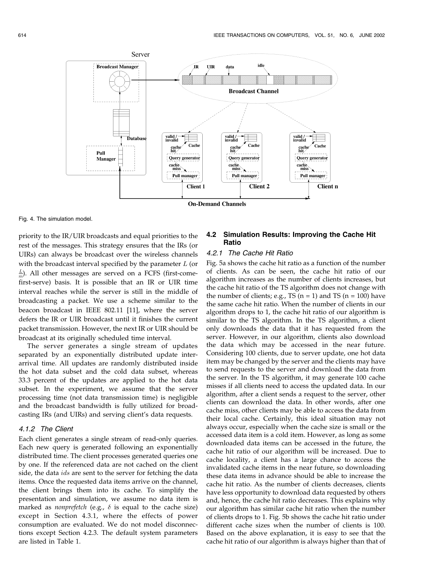

Fig. 4. The simulation model.

priority to the IR/UIR broadcasts and equal priorities to the rest of the messages. This strategy ensures that the IRs (or UIRs) can always be broadcast over the wireless channels with the broadcast interval specified by the parameter  $L$  (or  $\frac{L}{m}$ ). All other messages are served on a FCFS (first-comefirst-serve) basis. It is possible that an IR or UIR time interval reaches while the server is still in the middle of broadcasting a packet. We use a scheme similar to the beacon broadcast in IEEE 802.11 [11], where the server defers the IR or UIR broadcast until it finishes the current packet transmission. However, the next IR or UIR should be broadcast at its originally scheduled time interval.

The server generates a single stream of updates separated by an exponentially distributed update interarrival time. All updates are randomly distributed inside the hot data subset and the cold data subset, whereas 33.3 percent of the updates are applied to the hot data subset. In the experiment, we assume that the server processing time (not data transmission time) is negligible and the broadcast bandwidth is fully utilized for broadcasting IRs (and UIRs) and serving client's data requests.

## 4.1.2 The Client

Each client generates a single stream of read-only queries. Each new query is generated following an exponentially distributed time. The client processes generated queries one by one. If the referenced data are not cached on the client side, the data ids are sent to the server for fetching the data items. Once the requested data items arrive on the channel, the client brings them into its cache. To simplify the presentation and simulation, we assume no data item is marked as *nonprefetch* (e.g.,  $\delta$  is equal to the cache size) except in Section 4.3.1, where the effects of power consumption are evaluated. We do not model disconnections except Section 4.2.3. The default system parameters are listed in Table 1.

# 4.2 Simulation Results: Improving the Cache Hit Ratio

## 4.2.1 The Cache Hit Ratio

Fig. 5a shows the cache hit ratio as a function of the number of clients. As can be seen, the cache hit ratio of our algorithm increases as the number of clients increases, but the cache hit ratio of the TS algorithm does not change with the number of clients; e.g., TS  $(n = 1)$  and TS  $(n = 100)$  have the same cache hit ratio. When the number of clients in our algorithm drops to 1, the cache hit ratio of our algorithm is similar to the TS algorithm. In the TS algorithm, a client only downloads the data that it has requested from the server. However, in our algorithm, clients also download the data which may be accessed in the near future. Considering 100 clients, due to server update, one hot data item may be changed by the server and the clients may have to send requests to the server and download the data from the server. In the TS algorithm, it may generate 100 cache misses if all clients need to access the updated data. In our algorithm, after a client sends a request to the server, other clients can download the data. In other words, after one cache miss, other clients may be able to access the data from their local cache. Certainly, this ideal situation may not always occur, especially when the cache size is small or the accessed data item is a cold item. However, as long as some downloaded data items can be accessed in the future, the cache hit ratio of our algorithm will be increased. Due to cache locality, a client has a large chance to access the invalidated cache items in the near future, so downloading these data items in advance should be able to increase the cache hit ratio. As the number of clients decreases, clients have less opportunity to download data requested by others and, hence, the cache hit ratio decreases. This explains why our algorithm has similar cache hit ratio when the number of clients drops to 1. Fig. 5b shows the cache hit ratio under different cache sizes when the number of clients is 100. Based on the above explanation, it is easy to see that the cache hit ratio of our algorithm is always higher than that of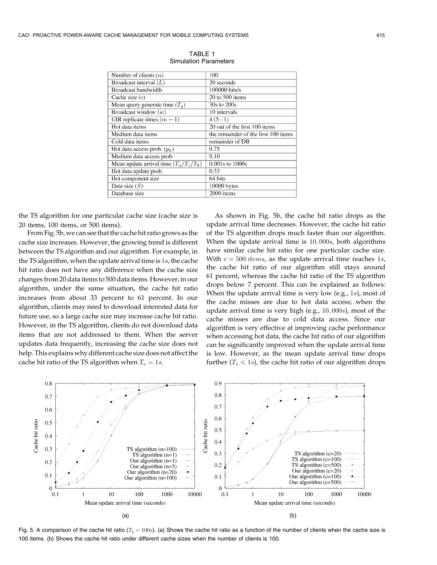| Number of clients $(n)$                  | 100                                  |
|------------------------------------------|--------------------------------------|
| Broadcast interval $(L)$                 | 20 seconds                           |
| Broadcast bandwidth                      | 100000 bits/s                        |
| Cache size $(c)$                         | 20 to 500 items                      |
| Mean query generate time $(T_a)$         | 30s to 200s                          |
| Broadcast window $(w)$                   | 10 intervals                         |
| UIR replicate times $(m - 1)$            | $4(5-1)$                             |
| Hot data items                           | 20 out of the first 100 items        |
| Medium data items                        | the remainder of the first 100 items |
| Cold data items                          | remainder of DB                      |
| Hot data access prob. $(p_h)$            | 0.75                                 |
| Medium data access prob.                 | 0.10                                 |
| Mean update arrival time $(T_u/T_c/T_h)$ | 0.001s to 1000s                      |
| Hot data update prob.                    | 0.33                                 |
| Hot component size                       | 64 bits                              |
| Data size $(S)$                          | 10000 bytes                          |
| Database size                            | 2000 items                           |

TABLE 1 Simulation Parameters

the TS algorithm for one particular cache size (cache size is 20 items, 100 items, or 500 items).

From Fig. 5b, we can see that the cache hit ratio grows as the cache size increases. However, the growing trend is different between the TS algorithm and our algorithm. For example, in the TS algorithm, when the update arrival time is  $1s$ , the cache hit ratio does not have any difference when the cache size changes from 20 data items to 500 data items. However, in our algorithm, under the same situation, the cache hit ratio increases from about 33 percent to 61 percent. In our algorithm, clients may need to download interested data for future use, so a large cache size may increase cache hit ratio. However, in the TS algorithm, clients do not download data items that are not addressed to them. When the server updates data frequently, increasing the cache size does not help. This explains why different cache size does not affect the cache hit ratio of the TS algorithm when  $T_u = 1s$ .

As shown in Fig. 5b, the cache hit ratio drops as the update arrival time decreases. However, the cache hit ratio of the TS algorithm drops much faster than our algorithm. When the update arrival time is  $10,000s$ , both algorithms have similar cache hit ratio for one particular cache size. With  $c = 500$  items, as the update arrival time reaches 1s, the cache hit ratio of our algorithm still stays around 61 percent, whereas the cache hit ratio of the TS algorithm drops below 7 percent. This can be explained as follows: When the update arrival time is very low (e.g., 1s), most of the cache misses are due to hot data access; when the update arrival time is very high (e.g.,  $10,000s$ ), most of the cache misses are due to cold data access. Since our algorithm is very effective at improving cache performance when accessing hot data, the cache hit ratio of our algorithm can be significantly improved when the update arrival time is low. However, as the mean update arrival time drops further  $(T_u < 1s)$ , the cache hit ratio of our algorithm drops



Fig. 5. A comparison of the cache hit ratio ( $T_q = 100s$ ). (a) Shows the cache hit ratio as a function of the number of clients when the cache size is 100 items. (b) Shows the cache hit ratio under different cache sizes when the number of clients is 100.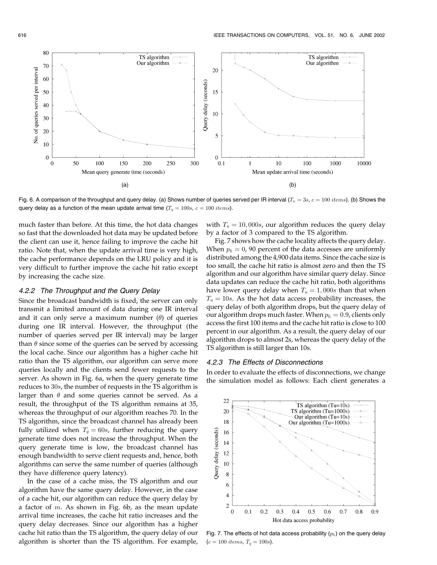

Fig. 6. A comparison of the throughput and query delay. (a) Shows number of queries served per IR interval  $(T_u = 3s, c = 100$  items). (b) Shows the query delay as a function of the mean update arrival time  $(T_q = 100s, c = 100 \text{ items}).$ 

much faster than before. At this time, the hot data changes so fast that the downloaded hot data may be updated before the client can use it, hence failing to improve the cache hit ratio. Note that, when the update arrival time is very high, the cache performance depends on the LRU policy and it is very difficult to further improve the cache hit ratio except by increasing the cache size.

## 4.2.2 The Throughput and the Query Delay

Since the broadcast bandwidth is fixed, the server can only transmit a limited amount of data during one IR interval and it can only serve a maximum number  $(\theta)$  of queries during one IR interval. However, the throughput (the number of queries served per IR interval) may be larger than  $\theta$  since some of the queries can be served by accessing the local cache. Since our algorithm has a higher cache hit ratio than the TS algorithm, our algorithm can serve more queries locally and the clients send fewer requests to the server. As shown in Fig. 6a, when the query generate time reduces to 30s, the number of requests in the TS algorithm is larger than  $\theta$  and some queries cannot be served. As a result, the throughput of the TS algorithm remains at 35, whereas the throughput of our algorithm reaches 70. In the TS algorithm, since the broadcast channel has already been fully utilized when  $T_q = 60s$ , further reducing the query generate time does not increase the throughput. When the query generate time is low, the broadcast channel has enough bandwidth to serve client requests and, hence, both algorithms can serve the same number of queries (although they have difference query latency).

In the case of a cache miss, the TS algorithm and our algorithm have the same query delay. However, in the case of a cache hit, our algorithm can reduce the query delay by a factor of  $m$ . As shown in Fig. 6b, as the mean update arrival time increases, the cache hit ratio increases and the query delay decreases. Since our algorithm has a higher cache hit ratio than the TS algorithm, the query delay of our algorithm is shorter than the TS algorithm. For example, with  $T_u = 10,000s$ , our algorithm reduces the query delay by a factor of 3 compared to the TS algorithm.

Fig. 7 shows how the cache locality affects the query delay. When  $p_h = 0$ , 90 percent of the data accesses are uniformly distributed among the 4,900 data items. Since the cache size is too small, the cache hit ratio is almost zero and then the TS algorithm and our algorithm have similar query delay. Since data updates can reduce the cache hit ratio, both algorithms have lower query delay when  $T_u = 1,000s$  than that when  $T_u = 10s$ . As the hot data access probability increases, the query delay of both algorithm drops, but the query delay of our algorithm drops much faster. When  $p_h = 0.9$ , clients only access the first 100 items and the cache hit ratio is close to 100 percent in our algorithm. As a result, the query delay of our algorithm drops to almost 2s, whereas the query delay of the TS algorithm is still larger than 10s.

#### 4.2.3 The Effects of Disconnections

In order to evaluate the effects of disconnections, we change the simulation model as follows: Each client generates a



Fig. 7. The effects of hot data access probability  $(p_h)$  on the query delay  $(c = 100 \text{ items}, T_q = 100s).$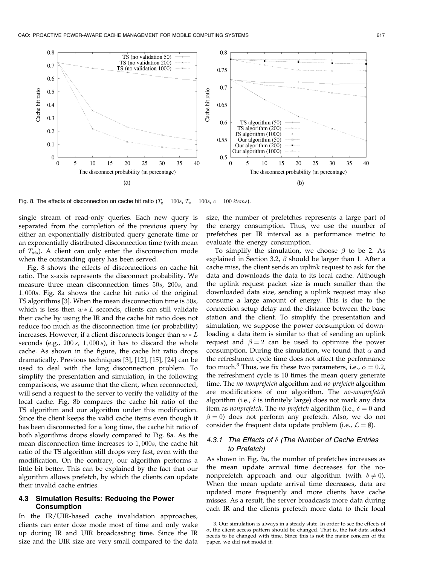

Fig. 8. The effects of disconnection on cache hit ratio  $(T_a = 100s, T_u = 100s, c = 100 \text{ items}).$ 

single stream of read-only queries. Each new query is separated from the completion of the previous query by either an exponentially distributed query generate time or an exponentially distributed disconnection time (with mean of  $T_{dis}$ ). A client can only enter the disconnection mode when the outstanding query has been served.

Fig. 8 shows the effects of disconnections on cache hit ratio. The x-axis represents the disconnect probability. We measure three mean disconnection times 50s, 200s, and 1; 000s. Fig. 8a shows the cache hit ratio of the original TS algorithms [3]. When the mean disconnection time is 50s, which is less then  $w * L$  seconds, clients can still validate their cache by using the IR and the cache hit ratio does not reduce too much as the disconnection time (or probability) increases. However, if a client disconnects longer than  $w * L$ seconds (e.g.,  $200 s$ ,  $1,000 s$ ), it has to discard the whole cache. As shown in the figure, the cache hit ratio drops dramatically. Previous techniques [3], [12], [15], [24] can be used to deal with the long disconnection problem. To simplify the presentation and simulation, in the following comparisons, we assume that the client, when reconnected, will send a request to the server to verify the validity of the local cache. Fig. 8b compares the cache hit ratio of the TS algorithm and our algorithm under this modification. Since the client keeps the valid cache items even though it has been disconnected for a long time, the cache hit ratio of both algorithms drops slowly compared to Fig. 8a. As the mean disconnection time increases to 1; 000s, the cache hit ratio of the TS algorithm still drops very fast, even with the modification. On the contrary, our algorithm performs a little bit better. This can be explained by the fact that our algorithm allows prefetch, by which the clients can update their invalid cache entries.

#### 4.3 Simulation Results: Reducing the Power Consumption

In the IR/UIR-based cache invalidation approaches, clients can enter doze mode most of time and only wake up during IR and UIR broadcasting time. Since the IR size and the UIR size are very small compared to the data

size, the number of prefetches represents a large part of the energy consumption. Thus, we use the number of prefetches per IR interval as a performance metric to evaluate the energy consumption.

To simplify the simulation, we choose  $\beta$  to be 2. As explained in Section 3.2,  $\beta$  should be larger than 1. After a cache miss, the client sends an uplink request to ask for the data and downloads the data to its local cache. Although the uplink request packet size is much smaller than the downloaded data size, sending a uplink request may also consume a large amount of energy. This is due to the connection setup delay and the distance between the base station and the client. To simplify the presentation and simulation, we suppose the power consumption of downloading a data item is similar to that of sending an uplink request and  $\beta = 2$  can be used to optimize the power consumption. During the simulation, we found that  $\alpha$  and the refreshment cycle time does not affect the performance too much.<sup>3</sup> Thus, we fix these two parameters, i.e.,  $\alpha = 0.2$ , the refreshment cycle is 10 times the mean query generate time. The no-nonprefetch algorithm and no-prefetch algorithm are modifications of our algorithm. The no-nonprefetch algorithm (i.e.,  $\delta$  is infinitely large) does not mark any data item as *nonprefetch*. The *no-prefetch* algorithm (i.e.,  $\delta = 0$  and  $\beta = 0$ ) does not perform any prefetch. Also, we do not consider the frequent data update problem (i.e.,  $\mathcal{L} = \emptyset$ ).

# 4.3.1 The Effects of  $\delta$  (The Number of Cache Entries to Prefetch)

As shown in Fig. 9a, the number of prefetches increases as the mean update arrival time decreases for the nononprefetch approach and our algorithm (with  $\delta \neq 0$ ). When the mean update arrival time decreases, data are updated more frequently and more clients have cache misses. As a result, the server broadcasts more data during each IR and the clients prefetch more data to their local

<sup>3.</sup> Our simulation is always in a steady state. In order to see the effects of  $\alpha$ , the client access pattern should be changed. That is, the hot data subset needs to be changed with time. Since this is not the major concern of the paper, we did not model it.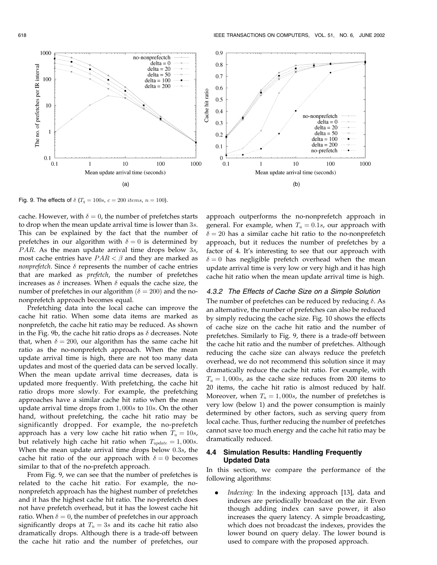

Fig. 9. The effects of  $\delta (T_q = 100s, c = 200 \text{ items}, n = 100)$ .

cache. However, with  $\delta = 0$ , the number of prefetches starts to drop when the mean update arrival time is lower than 3s. This can be explained by the fact that the number of prefetches in our algorithm with  $\delta = 0$  is determined by  $PAR.$  As the mean update arrival time drops below  $3s$ , most cache entries have  $PAR < \beta$  and they are marked as nonprefetch. Since  $\delta$  represents the number of cache entries that are marked as prefetch, the number of prefetches increases as  $\delta$  increases. When  $\delta$  equals the cache size, the number of prefetches in our algorithm  $(\delta = 200)$  and the nononprefetch approach becomes equal.

Prefetching data into the local cache can improve the cache hit ratio. When some data items are marked as nonprefetch, the cache hit ratio may be reduced. As shown in the Fig. 9b, the cache hit ratio drops as  $\delta$  decreases. Note that, when  $\delta = 200$ , our algorithm has the same cache hit ratio as the no-nonprefetch approach. When the mean update arrival time is high, there are not too many data updates and most of the queried data can be served locally. When the mean update arrival time decreases, data is updated more frequently. With prefetching, the cache hit ratio drops more slowly. For example, the prefetching approaches have a similar cache hit ratio when the mean update arrival time drops from  $1,000s$  to  $10s$ . On the other hand, without prefetching, the cache hit ratio may be significantly dropped. For example, the no-prefetch approach has a very low cache hit ratio when  $T_u = 10s$ , but relatively high cache hit ratio when  $T_{update} = 1,000s$ . When the mean update arrival time drops below 0.3s, the cache hit ratio of the our approach with  $\delta = 0$  becomes similar to that of the no-prefetch approach.

From Fig. 9, we can see that the number of prefetches is related to the cache hit ratio. For example, the nononprefetch approach has the highest number of prefetches and it has the highest cache hit ratio. The no-prefetch does not have prefetch overhead, but it has the lowest cache hit ratio. When  $\delta = 0$ , the number of prefetches in our approach significantly drops at  $T_u = 3s$  and its cache hit ratio also dramatically drops. Although there is a trade-off between the cache hit ratio and the number of prefetches, our

approach outperforms the no-nonprefetch approach in general. For example, when  $T_u = 0.1s$ , our approach with  $\delta = 20$  has a similar cache hit ratio to the no-nonprefetch approach, but it reduces the number of prefetches by a factor of 4. It's interesting to see that our approach with  $\delta = 0$  has negligible prefetch overhead when the mean update arrival time is very low or very high and it has high cache hit ratio when the mean update arrival time is high.

#### 4.3.2 The Effects of Cache Size on a Simple Solution

The number of prefetches can be reduced by reducing  $\delta$ . As an alternative, the number of prefetches can also be reduced by simply reducing the cache size. Fig. 10 shows the effects of cache size on the cache hit ratio and the number of prefetches. Similarly to Fig. 9, there is a trade-off between the cache hit ratio and the number of prefetches. Although reducing the cache size can always reduce the prefetch overhead, we do not recommend this solution since it may dramatically reduce the cache hit ratio. For example, with  $T_u = 1,000s$ , as the cache size reduces from 200 items to 20 items, the cache hit ratio is almost reduced by half. Moreover, when  $T_u = 1,000s$ , the number of prefetches is very low (below 1) and the power consumption is mainly determined by other factors, such as serving query from local cache. Thus, further reducing the number of prefetches cannot save too much energy and the cache hit ratio may be dramatically reduced.

## 4.4 Simulation Results: Handling Frequently Updated Data

In this section, we compare the performance of the following algorithms:

Indexing: In the indexing approach [13], data and indexes are periodically broadcast on the air. Even though adding index can save power, it also increases the query latency. A simple broadcasting, which does not broadcast the indexes, provides the lower bound on query delay. The lower bound is used to compare with the proposed approach.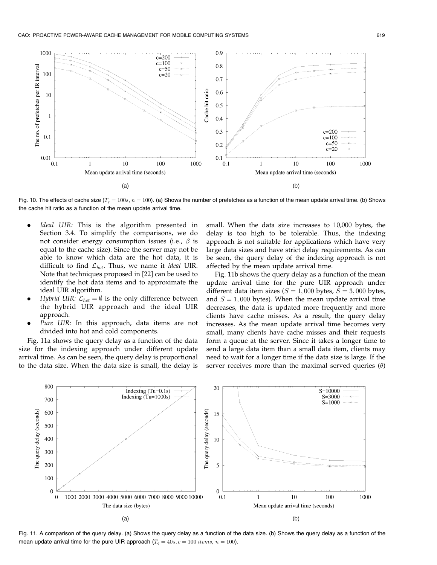

Fig. 10. The effects of cache size ( $T_q = 100s$ ,  $n = 100$ ). (a) Shows the number of prefetches as a function of the mean update arrival time. (b) Shows the cache hit ratio as a function of the mean update arrival time.

- Ideal UIR: This is the algorithm presented in Section 3.4. To simplify the comparisons, we do not consider energy consumption issues (i.e.,  $\beta$  is equal to the cache size). Since the server may not be able to know which data are the hot data, it is difficult to find  $\mathcal{L}_{hot}$ . Thus, we name it ideal UIR. Note that techniques proposed in [22] can be used to identify the hot data items and to approximate the ideal UIR algorithm.
- *Hybrid UIR:*  $\mathcal{L}_{hot} = \emptyset$  is the only difference between the hybrid UIR approach and the ideal UIR approach.
- Pure UIR: In this approach, data items are not divided into hot and cold components.

Fig. 11a shows the query delay as a function of the data size for the indexing approach under different update arrival time. As can be seen, the query delay is proportional to the data size. When the data size is small, the delay is small. When the data size increases to 10,000 bytes, the delay is too high to be tolerable. Thus, the indexing approach is not suitable for applications which have very large data sizes and have strict delay requirements. As can be seen, the query delay of the indexing approach is not affected by the mean update arrival time.

Fig. 11b shows the query delay as a function of the mean update arrival time for the pure UIR approach under different data item sizes ( $S = 1,000$  bytes,  $S = 3,000$  bytes, and  $S = 1,000$  bytes). When the mean update arrival time decreases, the data is updated more frequently and more clients have cache misses. As a result, the query delay increases. As the mean update arrival time becomes very small, many clients have cache misses and their requests form a queue at the server. Since it takes a longer time to send a large data item than a small data item, clients may need to wait for a longer time if the data size is large. If the server receives more than the maximal served queries  $(\theta)$ 



Fig. 11. A comparison of the query delay. (a) Shows the query delay as a function of the data size. (b) Shows the query delay as a function of the mean update arrival time for the pure UIR approach ( $T_q = 40s$ ,  $c = 100$  items,  $n = 100$ ).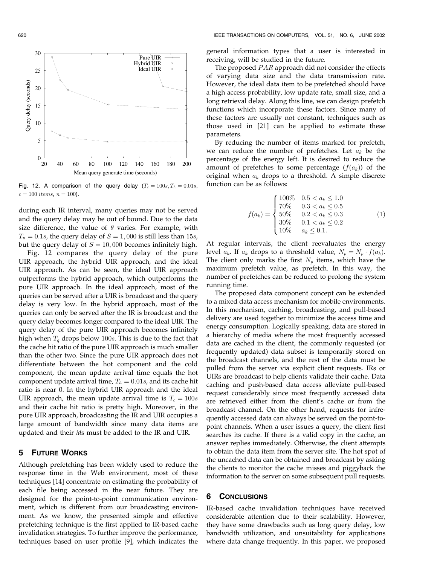

Fig. 12. A comparison of the query delay  $(T_c = 100s, T_h = 0.01s, T_e = 0.01s)$  $c = 100$  items,  $n = 100$ ).

during each IR interval, many queries may not be served and the query delay may be out of bound. Due to the data size difference, the value of  $\theta$  varies. For example, with  $T_u = 0.1s$ , the query delay of  $S = 1,000$  is still less than 15s, but the query delay of  $S = 10,000$  becomes infinitely high.

Fig. 12 compares the query delay of the pure UIR approach, the hybrid UIR approach, and the ideal UIR approach. As can be seen, the ideal UIR approach outperforms the hybrid approach, which outperforms the pure UIR approach. In the ideal approach, most of the queries can be served after a UIR is broadcast and the query delay is very low. In the hybrid approach, most of the queries can only be served after the IR is broadcast and the query delay becomes longer compared to the ideal UIR. The query delay of the pure UIR approach becomes infinitely high when  $T_q$  drops below 100s. This is due to the fact that the cache hit ratio of the pure UIR approach is much smaller than the other two. Since the pure UIR approach does not differentiate between the hot component and the cold component, the mean update arrival time equals the hot component update arrival time,  $T_h = 0.01s$ , and its cache hit ratio is near 0. In the hybrid UIR approach and the ideal UIR approach, the mean update arrival time is  $T_c = 100s$ and their cache hit ratio is pretty high. Moreover, in the pure UIR approach, broadcasting the IR and UIR occupies a large amount of bandwidth since many data items are updated and their *ids* must be added to the IR and UIR.

## 5 FUTURE WORKS

Although prefetching has been widely used to reduce the response time in the Web environment, most of these techniques [14] concentrate on estimating the probability of each file being accessed in the near future. They are designed for the point-to-point communication environment, which is different from our broadcasting environment. As we know, the presented simple and effective prefetching technique is the first applied to IR-based cache invalidation strategies. To further improve the performance, techniques based on user profile [9], which indicates the

general information types that a user is interested in receiving, will be studied in the future.

The proposed  $PAR$  approach did not consider the effects of varying data size and the data transmission rate. However, the ideal data item to be prefetched should have a high access probability, low update rate, small size, and a long retrieval delay. Along this line, we can design prefetch functions which incorporate these factors. Since many of these factors are usually not constant, techniques such as those used in [21] can be applied to estimate these parameters.

By reducing the number of items marked for prefetch, we can reduce the number of prefetches. Let  $a_k$  be the percentage of the energy left. It is desired to reduce the amount of prefetches to some percentage  $(f(a_k))$  of the original when  $a_k$  drops to a threshold. A simple discrete function can be as follows:

$$
f(a_k) = \begin{cases} 100\% & 0.5 < a_k \le 1.0 \\ 70\% & 0.3 < a_k \le 0.5 \\ 50\% & 0.2 < a_k \le 0.3 \\ 30\% & 0.1 < a_k \le 0.2 \\ 10\% & a_k \le 0.1. \end{cases} \tag{1}
$$

At regular intervals, the client reevaluates the energy level  $a_k$ . If  $a_k$  drops to a threshold value,  $N_p = N_p \cdot f(a_k)$ . The client only marks the first  $N_p$  items, which have the maximum prefetch value, as prefetch. In this way, the number of prefetches can be reduced to prolong the system running time.

The proposed data component concept can be extended to a mixed data access mechanism for mobile environments. In this mechanism, caching, broadcasting, and pull-based delivery are used together to minimize the access time and energy consumption. Logically speaking, data are stored in a hierarchy of media where the most frequently accessed data are cached in the client, the commonly requested (or frequently updated) data subset is temporarily stored on the broadcast channels, and the rest of the data must be pulled from the server via explicit client requests. IRs or UIRs are broadcast to help clients validate their cache. Data caching and push-based data access alleviate pull-based request considerably since most frequently accessed data are retrieved either from the client's cache or from the broadcast channel. On the other hand, requests for infrequently accessed data can always be served on the point-topoint channels. When a user issues a query, the client first searches its cache. If there is a valid copy in the cache, an answer replies immediately. Otherwise, the client attempts to obtain the data item from the server site. The hot spot of the uncached data can be obtained and broadcast by asking the clients to monitor the cache misses and piggyback the information to the server on some subsequent pull requests.

## 6 CONCLUSIONS

IR-based cache invalidation techniques have received considerable attention due to their scalability. However, they have some drawbacks such as long query delay, low bandwidth utilization, and unsuitability for applications where data change frequently. In this paper, we proposed